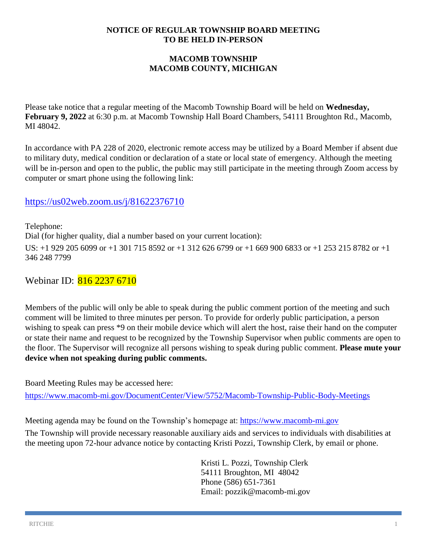#### **NOTICE OF REGULAR TOWNSHIP BOARD MEETING TO BE HELD IN-PERSON**

### **MACOMB TOWNSHIP MACOMB COUNTY, MICHIGAN**

Please take notice that a regular meeting of the Macomb Township Board will be held on **Wednesday, February 9, 2022** at 6:30 p.m. at Macomb Township Hall Board Chambers, 54111 Broughton Rd., Macomb, MI 48042.

In accordance with PA 228 of 2020, electronic remote access may be utilized by a Board Member if absent due to military duty, medical condition or declaration of a state or local state of emergency. Although the meeting will be in-person and open to the public, the public may still participate in the meeting through Zoom access by computer or smart phone using the following link:

# <https://us02web.zoom.us/j/81622376710>

Telephone: Dial (for higher quality, dial a number based on your current location): US: +1 929 205 6099 or +1 301 715 8592 or +1 312 626 6799 or +1 669 900 6833 or +1 253 215 8782 or +1 346 248 7799

Webinar ID: 816 2237 6710

Members of the public will only be able to speak during the public comment portion of the meeting and such comment will be limited to three minutes per person. To provide for orderly public participation, a person wishing to speak can press \*9 on their mobile device which will alert the host, raise their hand on the computer or state their name and request to be recognized by the Township Supervisor when public comments are open to the floor. The Supervisor will recognize all persons wishing to speak during public comment. **Please mute your device when not speaking during public comments.**

Board Meeting Rules may be accessed here:

<https://www.macomb-mi.gov/DocumentCenter/View/5752/Macomb-Township-Public-Body-Meetings>

Meeting agenda may be found on the Township's homepage at: [https://www.macomb-mi.gov](https://www.macomb-mi.gov/)

The Township will provide necessary reasonable auxiliary aids and services to individuals with disabilities at the meeting upon 72-hour advance notice by contacting Kristi Pozzi, Township Clerk, by email or phone.

> Kristi L. Pozzi, Township Clerk 54111 Broughton, MI 48042 Phone (586) 651-7361 Email: pozzik@macomb-mi.gov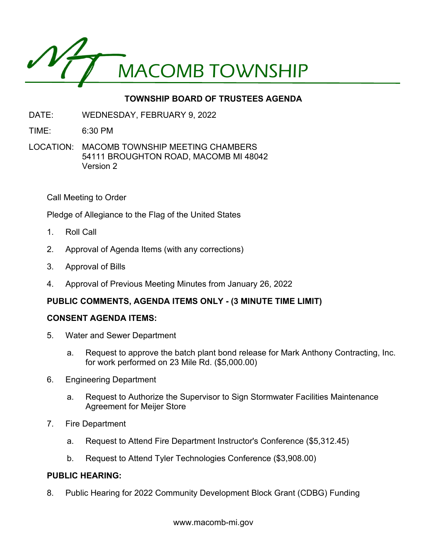

# **TOWNSHIP BOARD OF TRUSTEES AGENDA**

- DATE: WEDNESDAY, FEBRUARY 9, 2022
- TIME: 6:30 PM
- LOCATION: MACOMB TOWNSHIP MEETING CHAMBERS 54111 BROUGHTON ROAD, MACOMB MI 48042 Version 2

Call Meeting to Order

Pledge of Allegiance to the Flag of the United States

- 1. Roll Call
- 2. Approval of Agenda Items (with any corrections)
- 3. Approval of Bills
- 4. Approval of Previous Meeting Minutes from January 26, 2022

#### **PUBLIC COMMENTS, AGENDA ITEMS ONLY - (3 MINUTE TIME LIMIT)**

#### **CONSENT AGENDA ITEMS:**

- 5. Water and Sewer Department
	- a. Request to approve the batch plant bond release for Mark Anthony Contracting, Inc. for work performed on 23 Mile Rd. (\$5,000.00)
- 6. Engineering Department
	- a. Request to Authorize the Supervisor to Sign Stormwater Facilities Maintenance Agreement for Meijer Store
- 7. Fire Department
	- a. Request to Attend Fire Department Instructor's Conference (\$5,312.45)
	- b. Request to Attend Tyler Technologies Conference (\$3,908.00)

#### **PUBLIC HEARING:**

8. Public Hearing for 2022 Community Development Block Grant (CDBG) Funding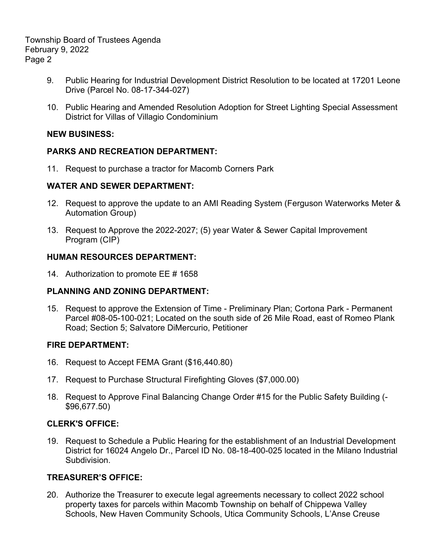Township Board of Trustees Agenda February 9, 2022 Page 2

- 9. Public Hearing for Industrial Development District Resolution to be located at 17201 Leone Drive (Parcel No. 08-17-344-027)
- 10. Public Hearing and Amended Resolution Adoption for Street Lighting Special Assessment District for Villas of Villagio Condominium

#### **NEW BUSINESS:**

### **PARKS AND RECREATION DEPARTMENT:**

11. Request to purchase a tractor for Macomb Corners Park

### **WATER AND SEWER DEPARTMENT:**

- 12. Request to approve the update to an AMI Reading System (Ferguson Waterworks Meter & Automation Group)
- 13. Request to Approve the 2022-2027; (5) year Water & Sewer Capital Improvement Program (CIP)

### **HUMAN RESOURCES DEPARTMENT:**

14. Authorization to promote EE # 1658

#### **PLANNING AND ZONING DEPARTMENT:**

15. Request to approve the Extension of Time - Preliminary Plan; Cortona Park - Permanent Parcel #08-05-100-021; Located on the south side of 26 Mile Road, east of Romeo Plank Road; Section 5; Salvatore DiMercurio, Petitioner

# **FIRE DEPARTMENT:**

- 16. Request to Accept FEMA Grant (\$16,440.80)
- 17. Request to Purchase Structural Firefighting Gloves (\$7,000.00)
- 18. Request to Approve Final Balancing Change Order #15 for the Public Safety Building (- \$96,677.50)

# **CLERK'S OFFICE:**

19. Request to Schedule a Public Hearing for the establishment of an Industrial Development District for 16024 Angelo Dr., Parcel ID No. 08-18-400-025 located in the Milano Industrial Subdivision.

# **TREASURER'S OFFICE:**

20. Authorize the Treasurer to execute legal agreements necessary to collect 2022 school property taxes for parcels within Macomb Township on behalf of Chippewa Valley Schools, New Haven Community Schools, Utica Community Schools, L'Anse Creuse